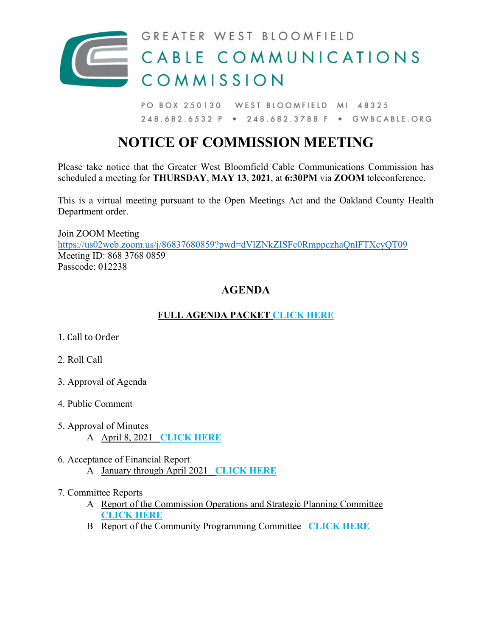

PO BOX 250130 WEST BLOOMFIELD MI 48325 248.682.6532 P · 248.682.3788 F · GWBCABLE.ORG

# **NOTICE OF COMMISSION MEETING**

Please take notice that the Greater West Bloomfield Cable Communications Commission has scheduled a meeting for **THURSDAY**, **MAY 13**, **2021**, at **6:30PM** via **ZOOM** teleconference.

This is a virtual meeting pursuant to the Open Meetings Act and the Oakland County Health Department order.

Join ZOOM Meeting <https://us02web.zoom.us/j/86837680859?pwd=dVlZNkZISFc0RmppczhaQnlFTXcyQT09> Meeting ID: 868 3768 0859 Passcode: 012238

## **AGENDA**

## **[FULL AGENDA PACKET CLICK HERE](http://gwbcable.org/wp-content/uploads/2021/05/MAY13.AGENDA-PACKET.pdf)**

- 1. Call to Order
- 2. Roll Call
- 3. Approval of Agenda
- 4. Public Comment
- 5. Approval of Minutes A April 8, 2021 **[CLICK HERE](http://gwbcable.org/wp-content/uploads/2021/05/MAY13.ENC5_.pdf)**
- 6. Acceptance of Financial Report A [January through April 2021](http://gwbcable.org/wp-content/uploads/2021/05/MAY13.ENC6_.pdf) **CLICK HERE**
- 7. Committee Reports
	- A [Report of the Commission Operations and Strategic Planning Committee](http://gwbcable.org/wp-content/uploads/2021/05/MAY13.ENC7A.pdf)  **[CLICK HERE](http://gwbcable.org/wp-content/uploads/2021/05/MAY13.ENC7A.pdf)**
	- B [Report of the Community Programming Committee](http://gwbcable.org/wp-content/uploads/2021/05/MAY13.ENC7B.pdf) **CLICK HERE**